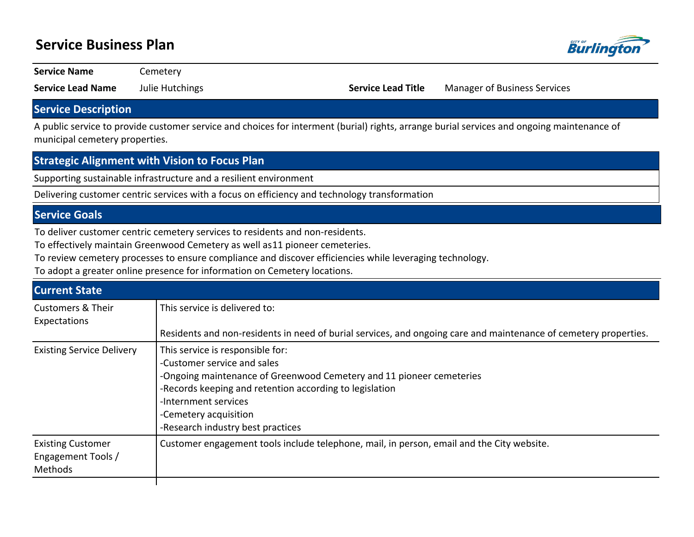# **Service Business Plan**



**Service Name Cemetery** 

**Service Lead Name** Julie Hutchings **Service Lead Title** Manager of Business Services

### **Service Description**

A public service to provide customer service and choices for interment (burial) rights, arrange burial services and ongoing maintenance of municipal cemetery properties.

#### **Strategic Alignment with Vision to Focus Plan**

Supporting sustainable infrastructure and a resilient environment

Delivering customer centric services with a focus on efficiency and technology transformation

### **Service Goals**

To deliver customer centric cemetery services to residents and non-residents.

To effectively maintain Greenwood Cemetery as well as 11 pioneer cemeteries.

To review cemetery processes to ensure compliance and discover efficiencies while leveraging technology.

To adopt a greater online presence for information on Cemetery locations.

| <b>Current State</b>                                      |                                                                                                                                                                                                                                                                                          |
|-----------------------------------------------------------|------------------------------------------------------------------------------------------------------------------------------------------------------------------------------------------------------------------------------------------------------------------------------------------|
| <b>Customers &amp; Their</b><br>Expectations              | This service is delivered to:                                                                                                                                                                                                                                                            |
|                                                           | Residents and non-residents in need of burial services, and ongoing care and maintenance of cemetery properties.                                                                                                                                                                         |
| <b>Existing Service Delivery</b>                          | This service is responsible for:<br>-Customer service and sales<br>-Ongoing maintenance of Greenwood Cemetery and 11 pioneer cemeteries<br>-Records keeping and retention according to legislation<br>-Internment services<br>-Cemetery acquisition<br>-Research industry best practices |
| <b>Existing Customer</b><br>Engagement Tools /<br>Methods | Customer engagement tools include telephone, mail, in person, email and the City website.                                                                                                                                                                                                |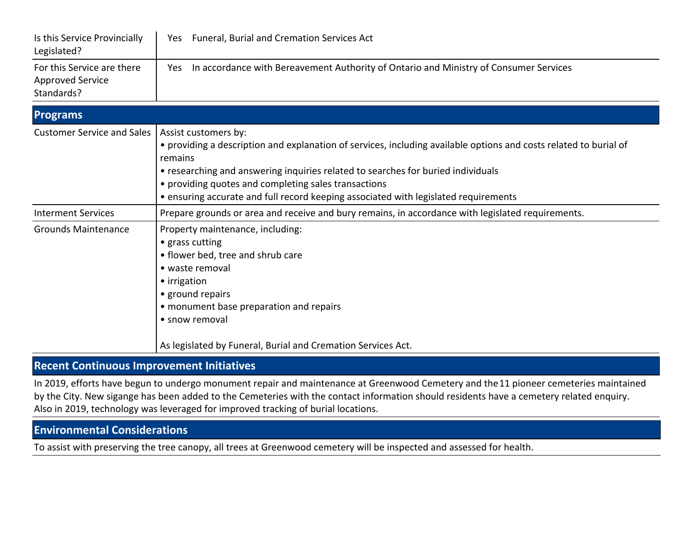| Is this Service Provincially<br>Legislated?                         | Yes Funeral, Burial and Cremation Services Act                                                                                                                                                                                                                                                                                                                                          |  |  |  |  |  |
|---------------------------------------------------------------------|-----------------------------------------------------------------------------------------------------------------------------------------------------------------------------------------------------------------------------------------------------------------------------------------------------------------------------------------------------------------------------------------|--|--|--|--|--|
| For this Service are there<br><b>Approved Service</b><br>Standards? | In accordance with Bereavement Authority of Ontario and Ministry of Consumer Services<br>Yes                                                                                                                                                                                                                                                                                            |  |  |  |  |  |
| <b>Programs</b>                                                     |                                                                                                                                                                                                                                                                                                                                                                                         |  |  |  |  |  |
| <b>Customer Service and Sales</b>                                   | Assist customers by:<br>• providing a description and explanation of services, including available options and costs related to burial of<br>remains<br>• researching and answering inquiries related to searches for buried individuals<br>• providing quotes and completing sales transactions<br>• ensuring accurate and full record keeping associated with legislated requirements |  |  |  |  |  |
| <b>Interment Services</b>                                           | Prepare grounds or area and receive and bury remains, in accordance with legislated requirements.                                                                                                                                                                                                                                                                                       |  |  |  |  |  |
| <b>Grounds Maintenance</b>                                          | Property maintenance, including:<br>• grass cutting<br>• flower bed, tree and shrub care<br>• waste removal<br>• irrigation<br>• ground repairs<br>• monument base preparation and repairs<br>• snow removal                                                                                                                                                                            |  |  |  |  |  |
|                                                                     | As legislated by Funeral, Burial and Cremation Services Act.                                                                                                                                                                                                                                                                                                                            |  |  |  |  |  |

## **Recent Continuous Improvement Initiatives**

In 2019, efforts have begun to undergo monument repair and maintenance at Greenwood Cemetery and the 11 pioneer cemeteries maintained by the City. New sigange has been added to the Cemeteries with the contact information should residents have a cemetery related enquiry. Also in 2019, technology was leveraged for improved tracking of burial locations.

# **Environmental Considerations**

To assist with preserving the tree canopy, all trees at Greenwood cemetery will be inspected and assessed for health.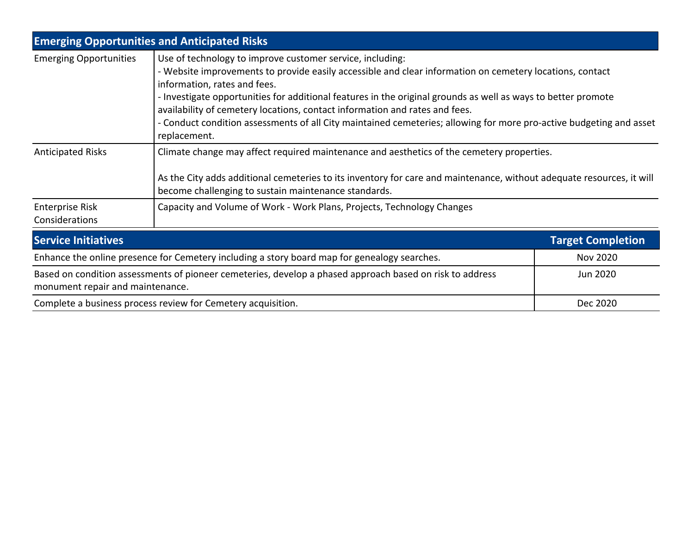| <b>Emerging Opportunities and Anticipated Risks</b>                                                                                          |                                                                                                                                                                                                                                                                                                                                                                                                                                                                                                                                              |                          |  |  |  |
|----------------------------------------------------------------------------------------------------------------------------------------------|----------------------------------------------------------------------------------------------------------------------------------------------------------------------------------------------------------------------------------------------------------------------------------------------------------------------------------------------------------------------------------------------------------------------------------------------------------------------------------------------------------------------------------------------|--------------------------|--|--|--|
| <b>Emerging Opportunities</b>                                                                                                                | Use of technology to improve customer service, including:<br>- Website improvements to provide easily accessible and clear information on cemetery locations, contact<br>information, rates and fees.<br>- Investigate opportunities for additional features in the original grounds as well as ways to better promote<br>availability of cemetery locations, contact information and rates and fees.<br>- Conduct condition assessments of all City maintained cemeteries; allowing for more pro-active budgeting and asset<br>replacement. |                          |  |  |  |
| <b>Anticipated Risks</b>                                                                                                                     | Climate change may affect required maintenance and aesthetics of the cemetery properties.<br>As the City adds additional cemeteries to its inventory for care and maintenance, without adequate resources, it will<br>become challenging to sustain maintenance standards.                                                                                                                                                                                                                                                                   |                          |  |  |  |
| <b>Enterprise Risk</b><br>Considerations                                                                                                     | Capacity and Volume of Work - Work Plans, Projects, Technology Changes                                                                                                                                                                                                                                                                                                                                                                                                                                                                       |                          |  |  |  |
| <b>Service Initiatives</b>                                                                                                                   |                                                                                                                                                                                                                                                                                                                                                                                                                                                                                                                                              | <b>Target Completion</b> |  |  |  |
| Enhance the online presence for Cemetery including a story board map for genealogy searches.                                                 | <b>Nov 2020</b>                                                                                                                                                                                                                                                                                                                                                                                                                                                                                                                              |                          |  |  |  |
| Based on condition assessments of pioneer cemeteries, develop a phased approach based on risk to address<br>monument repair and maintenance. |                                                                                                                                                                                                                                                                                                                                                                                                                                                                                                                                              | Jun 2020                 |  |  |  |
| Complete a business process review for Cemetery acquisition.                                                                                 | Dec 2020                                                                                                                                                                                                                                                                                                                                                                                                                                                                                                                                     |                          |  |  |  |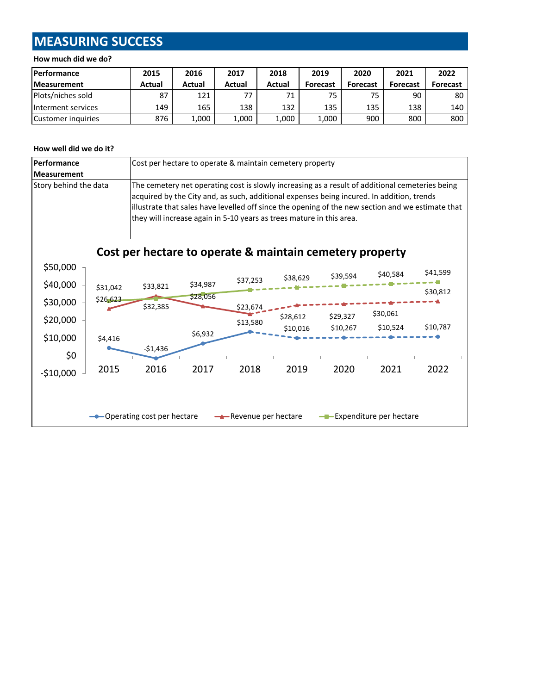# **MEASURING SUCCESS**

#### **How much did we do?**

| <b>Performance</b>       | 2015   | 2016   | 2017   | 2018   | 2019            | 2020            | 2021            | 2022            |
|--------------------------|--------|--------|--------|--------|-----------------|-----------------|-----------------|-----------------|
| <b>Measurement</b>       | Actual | Actual | Actual | Actual | <b>Forecast</b> | <b>Forecast</b> | <b>Forecast</b> | <b>Forecast</b> |
| <b>Plots/niches sold</b> | 87     | 121    | 77     | 71     | 75              | 75              | 90              | 80              |
| Interment services       | 149    | 165    | 138    | 132    | 135             | 135             | 138             | 140             |
| Customer inquiries       | 876    | 1,000  | 1,000  | 1,000  | 1,000           | 900             | 800             | 800             |

#### **How well did we do it?**

| Performance<br><b>Measurement</b> |                                                                                        | Cost per hectare to operate & maintain cemetery property                                                                                                                                                                                                                                                                                                                  |                      |                      |                      |                      |                      |          |
|-----------------------------------|----------------------------------------------------------------------------------------|---------------------------------------------------------------------------------------------------------------------------------------------------------------------------------------------------------------------------------------------------------------------------------------------------------------------------------------------------------------------------|----------------------|----------------------|----------------------|----------------------|----------------------|----------|
| Story behind the data             |                                                                                        | The cemetery net operating cost is slowly increasing as a result of additional cemeteries being<br>acquired by the City and, as such, additional expenses being incured. In addition, trends<br>illustrate that sales have levelled off since the opening of the new section and we estimate that<br>they will increase again in 5-10 years as trees mature in this area. |                      |                      |                      |                      |                      |          |
|                                   |                                                                                        | Cost per hectare to operate & maintain cemetery property                                                                                                                                                                                                                                                                                                                  |                      |                      |                      |                      |                      |          |
| \$50,000                          |                                                                                        |                                                                                                                                                                                                                                                                                                                                                                           |                      | \$37,253             | \$38,629             | \$39,594             | \$40,584             | \$41,599 |
| \$40,000<br>\$30,000              | \$31,042<br>\$26,623                                                                   | \$33,821                                                                                                                                                                                                                                                                                                                                                                  | \$34,987<br>\$28,056 |                      |                      |                      |                      | \$30,812 |
| \$20,000                          |                                                                                        | \$32,385                                                                                                                                                                                                                                                                                                                                                                  |                      | \$23,674<br>\$13,580 | \$28,612<br>\$10,016 | \$29,327<br>\$10,267 | \$30,061<br>\$10,524 | \$10,787 |
| \$10,000<br>\$0                   | \$4,416                                                                                | $-51,436$                                                                                                                                                                                                                                                                                                                                                                 | \$6,932              |                      |                      |                      |                      |          |
| $-$10,000$                        | 2015                                                                                   | 2016                                                                                                                                                                                                                                                                                                                                                                      | 2017                 | 2018                 | 2019                 | 2020                 | 2021                 | 2022     |
|                                   | <b>-</b> Operating cost per hectare<br>Revenue per hectare<br>-Expenditure per hectare |                                                                                                                                                                                                                                                                                                                                                                           |                      |                      |                      |                      |                      |          |